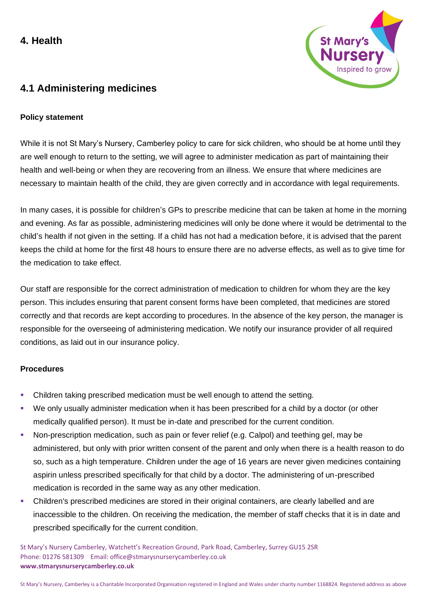# **4. Health**



# **4.1 Administering medicines**

### **Policy statement**

While it is not St Mary's Nursery, Camberley policy to care for sick children, who should be at home until they are well enough to return to the setting, we will agree to administer medication as part of maintaining their health and well-being or when they are recovering from an illness. We ensure that where medicines are necessary to maintain health of the child, they are given correctly and in accordance with legal requirements.

In many cases, it is possible for children's GPs to prescribe medicine that can be taken at home in the morning and evening. As far as possible, administering medicines will only be done where it would be detrimental to the child's health if not given in the setting. If a child has not had a medication before, it is advised that the parent keeps the child at home for the first 48 hours to ensure there are no adverse effects, as well as to give time for the medication to take effect.

Our staff are responsible for the correct administration of medication to children for whom they are the key person. This includes ensuring that parent consent forms have been completed, that medicines are stored correctly and that records are kept according to procedures. In the absence of the key person, the manager is responsible for the overseeing of administering medication. We notify our insurance provider of all required conditions, as laid out in our insurance policy.

#### **Procedures**

- Children taking prescribed medication must be well enough to attend the setting.
- We only usually administer medication when it has been prescribed for a child by a doctor (or other medically qualified person). It must be in-date and prescribed for the current condition.
- Non-prescription medication, such as pain or fever relief (e.g. Calpol) and teething gel, may be administered, but only with prior written consent of the parent and only when there is a health reason to do so, such as a high temperature. Children under the age of 16 years are never given medicines containing aspirin unless prescribed specifically for that child by a doctor. The administering of un-prescribed medication is recorded in the same way as any other medication.
- Children's prescribed medicines are stored in their original containers, are clearly labelled and are inaccessible to the children. On receiving the medication, the member of staff checks that it is in date and prescribed specifically for the current condition.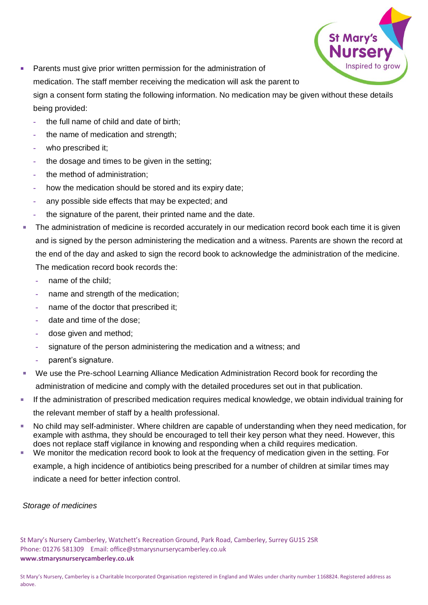

- Parents must give prior written permission for the administration of medication. The staff member receiving the medication will ask the parent to sign a consent form stating the following information. No medication may be given without these details being provided:
	- **-** the full name of child and date of birth;
	- **-** the name of medication and strength;
	- **-** who prescribed it;
	- **-** the dosage and times to be given in the setting;
	- **-** the method of administration;
	- **-** how the medication should be stored and its expiry date;
	- **-** any possible side effects that may be expected; and
	- **-** the signature of the parent, their printed name and the date.
- The administration of medicine is recorded accurately in our medication record book each time it is given and is signed by the person administering the medication and a witness. Parents are shown the record at the end of the day and asked to sign the record book to acknowledge the administration of the medicine. The medication record book records the:
	- **-** name of the child;
	- **-** name and strength of the medication;
	- **-** name of the doctor that prescribed it;
	- **-** date and time of the dose;
	- **-** dose given and method;
	- **-** signature of the person administering the medication and a witness; and
	- **-** parent's signature.
- We use the Pre-school Learning Alliance Medication Administration Record book for recording the administration of medicine and comply with the detailed procedures set out in that publication.
- If the administration of prescribed medication requires medical knowledge, we obtain individual training for the relevant member of staff by a health professional.
- No child may self-administer. Where children are capable of understanding when they need medication, for example with asthma, they should be encouraged to tell their key person what they need. However, this does not replace staff vigilance in knowing and responding when a child requires medication.
- We monitor the medication record book to look at the frequency of medication given in the setting. For example, a high incidence of antibiotics being prescribed for a number of children at similar times may indicate a need for better infection control.

# *Storage of medicines*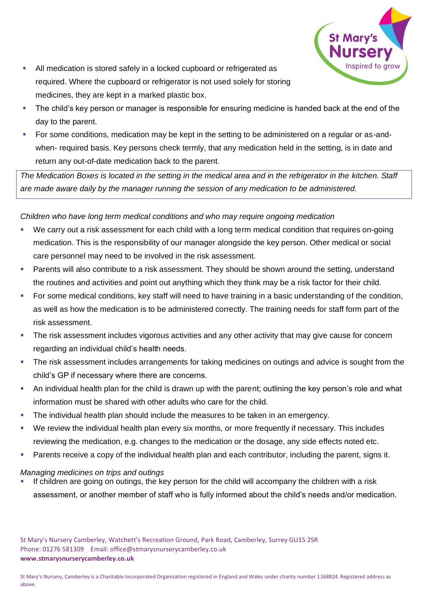

- All medication is stored safely in a locked cupboard or refrigerated as required. Where the cupboard or refrigerator is not used solely for storing medicines, they are kept in a marked plastic box.
- The child's key person or manager is responsible for ensuring medicine is handed back at the end of the day to the parent.
- For some conditions, medication may be kept in the setting to be administered on a regular or as-andwhen- required basis. Key persons check termly, that any medication held in the setting, is in date and return any out-of-date medication back to the parent.

*The Medication Boxes is located in the setting in the medical area and in the refrigerator in the kitchen. Staff are made aware daily by the manager running the session of any medication to be administered.*

*Children who have long term medical conditions and who may require ongoing medication*

- We carry out a risk assessment for each child with a long term medical condition that requires on-going medication. This is the responsibility of our manager alongside the key person. Other medical or social care personnel may need to be involved in the risk assessment.
- Parents will also contribute to a risk assessment. They should be shown around the setting, understand the routines and activities and point out anything which they think may be a risk factor for their child.
- For some medical conditions, key staff will need to have training in a basic understanding of the condition, as well as how the medication is to be administered correctly. The training needs for staff form part of the risk assessment.
- The risk assessment includes vigorous activities and any other activity that may give cause for concern regarding an individual child's health needs.
- **•** The risk assessment includes arrangements for taking medicines on outings and advice is sought from the child's GP if necessary where there are concerns.
- An individual health plan for the child is drawn up with the parent; outlining the key person's role and what information must be shared with other adults who care for the child.
- The individual health plan should include the measures to be taken in an emergency.
- We review the individual health plan every six months, or more frequently if necessary. This includes reviewing the medication, e.g. changes to the medication or the dosage, any side effects noted etc.
- Parents receive a copy of the individual health plan and each contributor, including the parent, signs it.

#### *Managing medicines on trips and outings*

If children are going on outings, the key person for the child will accompany the children with a risk assessment, or another member of staff who is fully informed about the child's needs and/or medication.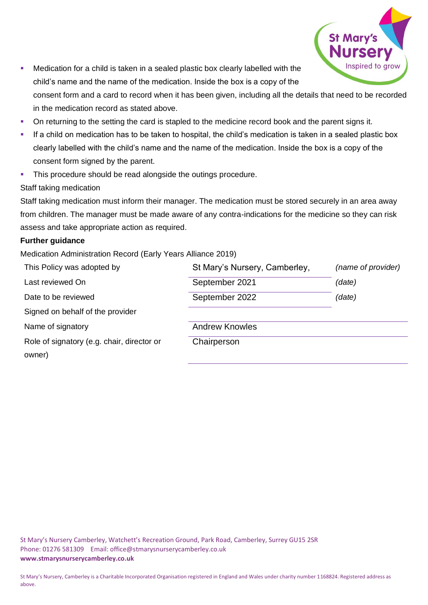

- Medication for a child is taken in a sealed plastic box clearly labelled with the child's name and the name of the medication. Inside the box is a copy of the consent form and a card to record when it has been given, including all the details that need to be recorded
- On returning to the setting the card is stapled to the medicine record book and the parent signs it.
- If a child on medication has to be taken to hospital, the child's medication is taken in a sealed plastic box clearly labelled with the child's name and the name of the medication. Inside the box is a copy of the consent form signed by the parent.
- **·** This procedure should be read alongside the outings procedure.

in the medication record as stated above.

# Staff taking medication

Staff taking medication must inform their manager. The medication must be stored securely in an area away from children. The manager must be made aware of any contra-indications for the medicine so they can risk assess and take appropriate action as required.

#### **Further guidance**

Medication Administration Record (Early Years Alliance 2019)

| This Policy was adopted by                 | St Mary's Nursery, Camberley, | (name of provider) |
|--------------------------------------------|-------------------------------|--------------------|
| Last reviewed On                           | September 2021                | (date)             |
| Date to be reviewed                        | September 2022                | (date)             |
| Signed on behalf of the provider           |                               |                    |
| Name of signatory                          | <b>Andrew Knowles</b>         |                    |
| Role of signatory (e.g. chair, director or | Chairperson                   |                    |
| owner)                                     |                               |                    |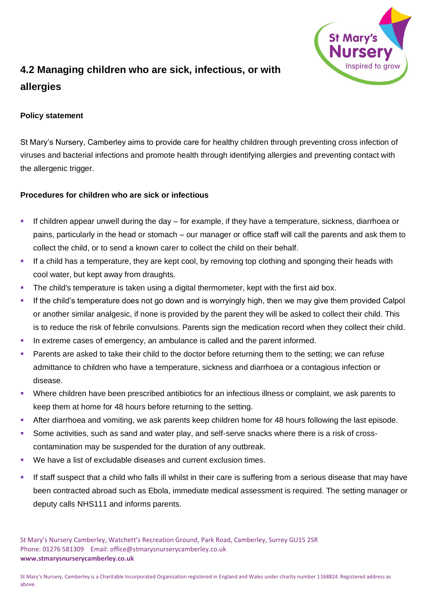

# **4.2 Managing children who are sick, infectious, or with allergies**

# **Policy statement**

St Mary's Nursery, Camberley aims to provide care for healthy children through preventing cross infection of viruses and bacterial infections and promote health through identifying allergies and preventing contact with the allergenic trigger.

#### **Procedures for children who are sick or infectious**

- If children appear unwell during the day for example, if they have a temperature, sickness, diarrhoea or pains, particularly in the head or stomach – our manager or office staff will call the parents and ask them to collect the child, or to send a known carer to collect the child on their behalf.
- **■** If a child has a temperature, they are kept cool, by removing top clothing and sponging their heads with cool water, but kept away from draughts.
- The child's temperature is taken using a digital thermometer, kept with the first aid box.
- If the child's temperature does not go down and is worryingly high, then we may give them provided Calpol or another similar analgesic, if none is provided by the parent they will be asked to collect their child. This is to reduce the risk of febrile convulsions. Parents sign the medication record when they collect their child.
- In extreme cases of emergency, an ambulance is called and the parent informed.
- **•** Parents are asked to take their child to the doctor before returning them to the setting; we can refuse admittance to children who have a temperature, sickness and diarrhoea or a contagious infection or disease.
- Where children have been prescribed antibiotics for an infectious illness or complaint, we ask parents to keep them at home for 48 hours before returning to the setting.
- After diarrhoea and vomiting, we ask parents keep children home for 48 hours following the last episode.
- Some activities, such as sand and water play, and self-serve snacks where there is a risk of crosscontamination may be suspended for the duration of any outbreak.
- We have a list of excludable diseases and current exclusion times.
- If staff suspect that a child who falls ill whilst in their care is suffering from a serious disease that may have been contracted abroad such as Ebola, immediate medical assessment is required. The setting manager or deputy calls NHS111 and informs parents.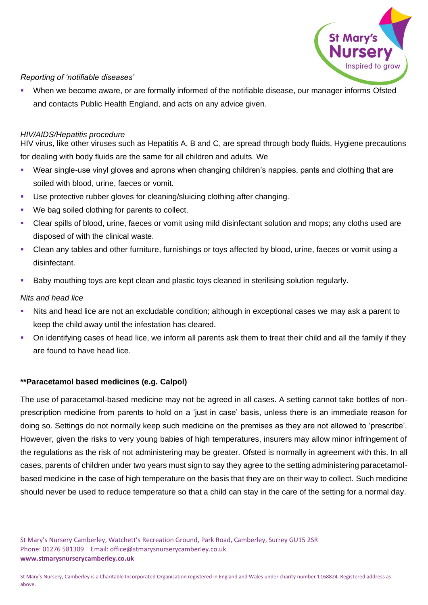

### *Reporting of 'notifiable diseases'*

When we become aware, or are formally informed of the notifiable disease, our manager informs Ofsted and contacts Public Health England, and acts on any advice given.

#### *HIV/AIDS/Hepatitis procedure*

HIV virus, like other viruses such as Hepatitis A, B and C, are spread through body fluids. Hygiene precautions for dealing with body fluids are the same for all children and adults. We

- Wear single-use vinyl gloves and aprons when changing children's nappies, pants and clothing that are soiled with blood, urine, faeces or vomit.
- Use protective rubber gloves for cleaning/sluicing clothing after changing.
- We bag soiled clothing for parents to collect.
- Clear spills of blood, urine, faeces or vomit using mild disinfectant solution and mops; any cloths used are disposed of with the clinical waste.
- Clean any tables and other furniture, furnishings or toys affected by blood, urine, faeces or vomit using a disinfectant.
- Baby mouthing toys are kept clean and plastic toys cleaned in sterilising solution regularly.

# *Nits and head lice*

- Nits and head lice are not an excludable condition; although in exceptional cases we may ask a parent to keep the child away until the infestation has cleared.
- On identifying cases of head lice, we inform all parents ask them to treat their child and all the family if they are found to have head lice.

# **\*\*Paracetamol based medicines (e.g. Calpol)**

The use of paracetamol-based medicine may not be agreed in all cases. A setting cannot take bottles of nonprescription medicine from parents to hold on a 'just in case' basis, unless there is an immediate reason for doing so. Settings do not normally keep such medicine on the premises as they are not allowed to 'prescribe'. However, given the risks to very young babies of high temperatures, insurers may allow minor infringement of the regulations as the risk of not administering may be greater. Ofsted is normally in agreement with this. In all cases, parents of children under two years must sign to say they agree to the setting administering paracetamolbased medicine in the case of high temperature on the basis that they are on their way to collect. Such medicine should never be used to reduce temperature so that a child can stay in the care of the setting for a normal day.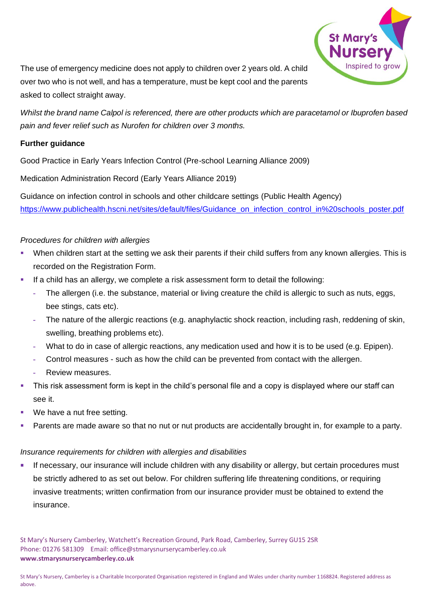

The use of emergency medicine does not apply to children over 2 years old. A child over two who is not well, and has a temperature, must be kept cool and the parents asked to collect straight away.

*Whilst the brand name Calpol is referenced, there are other products which are paracetamol or Ibuprofen based pain and fever relief such as Nurofen for children over 3 months.* 

# **Further guidance**

Good Practice in Early Years Infection Control (Pre-school Learning Alliance 2009)

Medication Administration Record (Early Years Alliance 2019)

Guidance on infection control in schools and other childcare settings (Public Health Agency) [https://www.publichealth.hscni.net/sites/default/files/Guidance\\_on\\_infection\\_control\\_in%20schools\\_poster.pdf](https://www.publichealth.hscni.net/sites/default/files/Guidance_on_infection_control_in%20schools_poster.pdf)

# *Procedures for children with allergies*

- When children start at the setting we ask their parents if their child suffers from any known allergies. This is recorded on the Registration Form.
- **■** If a child has an allergy, we complete a risk assessment form to detail the following:
	- **-** The allergen (i.e. the substance, material or living creature the child is allergic to such as nuts, eggs, bee stings, cats etc).
	- **-** The nature of the allergic reactions (e.g. anaphylactic shock reaction, including rash, reddening of skin, swelling, breathing problems etc).
	- **-** What to do in case of allergic reactions, any medication used and how it is to be used (e.g. Epipen).
	- **-** Control measures such as how the child can be prevented from contact with the allergen.
	- **-** Review measures.
- This risk assessment form is kept in the child's personal file and a copy is displayed where our staff can see it.
- We have a nut free setting.
- Parents are made aware so that no nut or nut products are accidentally brought in, for example to a party.

#### *Insurance requirements for children with allergies and disabilities*

**EXECT** If necessary, our insurance will include children with any disability or allergy, but certain procedures must be strictly adhered to as set out below. For children suffering life threatening conditions, or requiring invasive treatments; written confirmation from our insurance provider must be obtained to extend the insurance.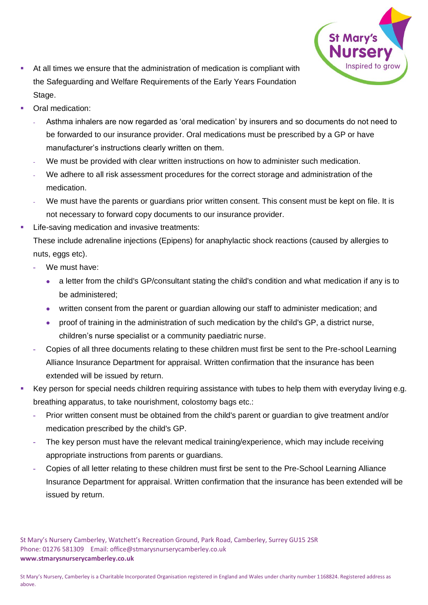

- At all times we ensure that the administration of medication is compliant with the Safeguarding and Welfare Requirements of the Early Years Foundation Stage.
- Oral medication:
	- **-** Asthma inhalers are now regarded as 'oral medication' by insurers and so documents do not need to be forwarded to our insurance provider. Oral medications must be prescribed by a GP or have manufacturer's instructions clearly written on them.
	- **-** We must be provided with clear written instructions on how to administer such medication.
	- **-** We adhere to all risk assessment procedures for the correct storage and administration of the medication.
	- **-** We must have the parents or guardians prior written consent. This consent must be kept on file. It is not necessary to forward copy documents to our insurance provider.
- Life-saving medication and invasive treatments:

These include adrenaline injections (Epipens) for anaphylactic shock reactions (caused by allergies to nuts, eggs etc).

- **-** We must have:
	- a letter from the child's GP/consultant stating the child's condition and what medication if any is to be administered;
	- written consent from the parent or guardian allowing our staff to administer medication; and
	- proof of training in the administration of such medication by the child's GP, a district nurse, children's nurse specialist or a community paediatric nurse.
- **-** Copies of all three documents relating to these children must first be sent to the Pre-school Learning Alliance Insurance Department for appraisal. Written confirmation that the insurance has been extended will be issued by return.
- Key person for special needs children requiring assistance with tubes to help them with everyday living e.g. breathing apparatus, to take nourishment, colostomy bags etc.:
	- **-** Prior written consent must be obtained from the child's parent or guardian to give treatment and/or medication prescribed by the child's GP.
	- **-** The key person must have the relevant medical training/experience, which may include receiving appropriate instructions from parents or guardians.
	- **-** Copies of all letter relating to these children must first be sent to the Pre-School Learning Alliance Insurance Department for appraisal. Written confirmation that the insurance has been extended will be issued by return.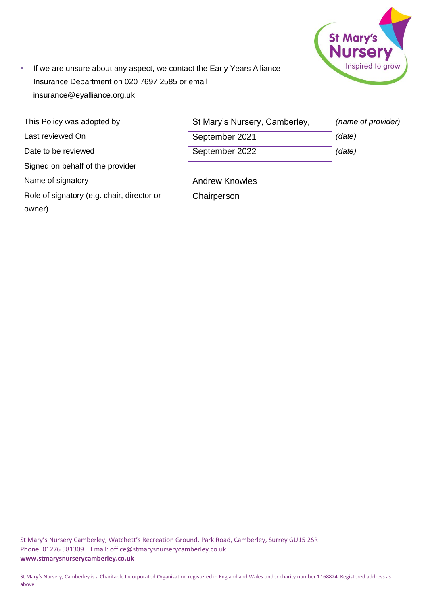

**EXT** If we are unsure about any aspect, we contact the Early Years Alliance Insurance Department on 020 7697 2585 or email insurance@eyalliance.org.uk

| This Policy was adopted by                           | St Mary's Nursery, Camberley, | (name of provider) |
|------------------------------------------------------|-------------------------------|--------------------|
| Last reviewed On                                     | September 2021                | (date)             |
| Date to be reviewed                                  | September 2022                | (date)             |
| Signed on behalf of the provider                     |                               |                    |
| Name of signatory                                    | <b>Andrew Knowles</b>         |                    |
| Role of signatory (e.g. chair, director or<br>owner) | Chairperson                   |                    |
|                                                      |                               |                    |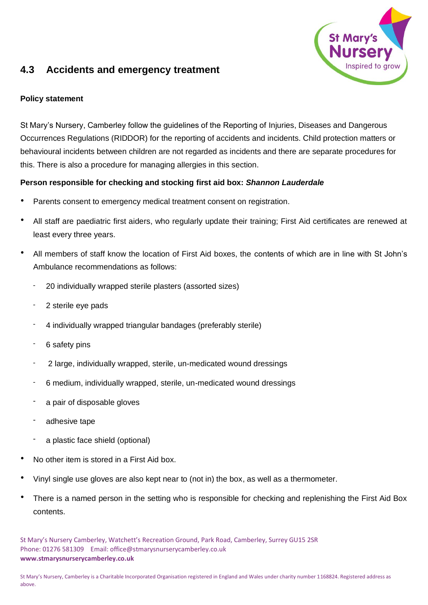

# **4.3 Accidents and emergency treatment**

### **Policy statement**

St Mary's Nursery, Camberley follow the guidelines of the Reporting of Injuries, Diseases and Dangerous Occurrences Regulations (RIDDOR) for the reporting of accidents and incidents. Child protection matters or behavioural incidents between children are not regarded as incidents and there are separate procedures for this. There is also a procedure for managing allergies in this section.

# **Person responsible for checking and stocking first aid box:** *Shannon Lauderdale*

- Parents consent to emergency medical treatment consent on registration.
- All staff are paediatric first aiders, who regularly update their training; First Aid certificates are renewed at least every three years.
- All members of staff know the location of First Aid boxes, the contents of which are in line with St John's Ambulance recommendations as follows:
	- 20 individually wrapped sterile plasters (assorted sizes)
	- 2 sterile eye pads
	- 4 individually wrapped triangular bandages (preferably sterile)
	- 6 safety pins
	- 2 large, individually wrapped, sterile, un-medicated wound dressings
	- 6 medium, individually wrapped, sterile, un-medicated wound dressings
	- a pair of disposable gloves
	- adhesive tape
	- a plastic face shield (optional)
- No other item is stored in a First Aid box.
- Vinyl single use gloves are also kept near to (not in) the box, as well as a thermometer.
- There is a named person in the setting who is responsible for checking and replenishing the First Aid Box contents.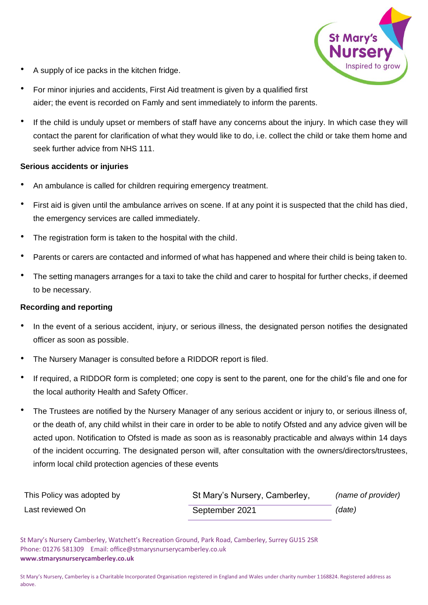

- A supply of ice packs in the kitchen fridge.
- For minor injuries and accidents, First Aid treatment is given by a qualified first aider; the event is recorded on Famly and sent immediately to inform the parents.
- If the child is unduly upset or members of staff have any concerns about the injury. In which case they will contact the parent for clarification of what they would like to do, i.e. collect the child or take them home and seek further advice from NHS 111.

#### **Serious accidents or injuries**

- An ambulance is called for children requiring emergency treatment.
- First aid is given until the ambulance arrives on scene. If at any point it is suspected that the child has died, the emergency services are called immediately.
- The registration form is taken to the hospital with the child.
- Parents or carers are contacted and informed of what has happened and where their child is being taken to.
- The setting managers arranges for a taxi to take the child and carer to hospital for further checks, if deemed to be necessary.

#### **Recording and reporting**

- In the event of a serious accident, injury, or serious illness, the designated person notifies the designated officer as soon as possible.
- The Nursery Manager is consulted before a RIDDOR report is filed.
- If required, a RIDDOR form is completed; one copy is sent to the parent, one for the child's file and one for the local authority Health and Safety Officer.
- The Trustees are notified by the Nursery Manager of any serious accident or injury to, or serious illness of, or the death of, any child whilst in their care in order to be able to notify Ofsted and any advice given will be acted upon. Notification to Ofsted is made as soon as is reasonably practicable and always within 14 days of the incident occurring. The designated person will, after consultation with the owners/directors/trustees, inform local child protection agencies of these events

| This Policy was adopted by | St Mary's Nursery, Camberley, | (name of provider) |
|----------------------------|-------------------------------|--------------------|
| Last reviewed On           | September 2021                | (date)             |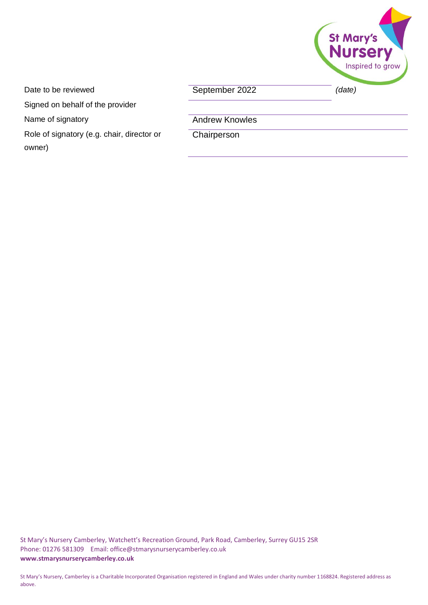

Date to be reviewed **September 2022** (date)

Signed on behalf of the provider

Name of signatory **Andrew Knowles** 

Role of signatory (e.g. chair, director or owner)

**Chairperson**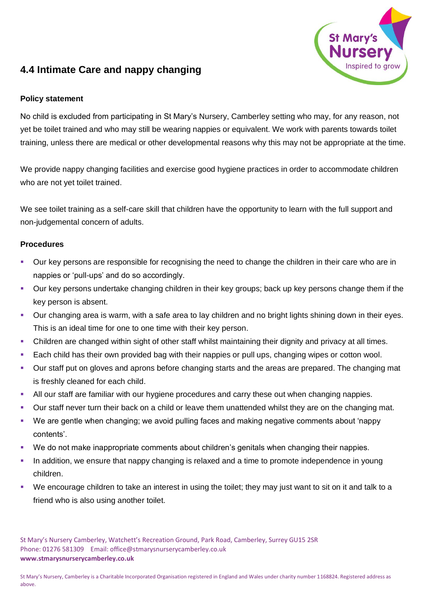

# **4.4 Intimate Care and nappy changing**

### **Policy statement**

No child is excluded from participating in St Mary's Nursery, Camberley setting who may, for any reason, not yet be toilet trained and who may still be wearing nappies or equivalent. We work with parents towards toilet training, unless there are medical or other developmental reasons why this may not be appropriate at the time.

We provide nappy changing facilities and exercise good hygiene practices in order to accommodate children who are not yet toilet trained.

We see toilet training as a self-care skill that children have the opportunity to learn with the full support and non-judgemental concern of adults.

#### **Procedures**

- Our key persons are responsible for recognising the need to change the children in their care who are in nappies or 'pull-ups' and do so accordingly.
- Our key persons undertake changing children in their key groups; back up key persons change them if the key person is absent.
- Our changing area is warm, with a safe area to lay children and no bright lights shining down in their eyes. This is an ideal time for one to one time with their key person.
- Children are changed within sight of other staff whilst maintaining their dignity and privacy at all times.
- Each child has their own provided bag with their nappies or pull ups, changing wipes or cotton wool.
- Our staff put on gloves and aprons before changing starts and the areas are prepared. The changing mat is freshly cleaned for each child.
- All our staff are familiar with our hygiene procedures and carry these out when changing nappies.
- Our staff never turn their back on a child or leave them unattended whilst they are on the changing mat.
- We are gentle when changing; we avoid pulling faces and making negative comments about 'nappy contents'.
- We do not make inappropriate comments about children's genitals when changing their nappies.
- In addition, we ensure that nappy changing is relaxed and a time to promote independence in young children.
- We encourage children to take an interest in using the toilet; they may just want to sit on it and talk to a friend who is also using another toilet.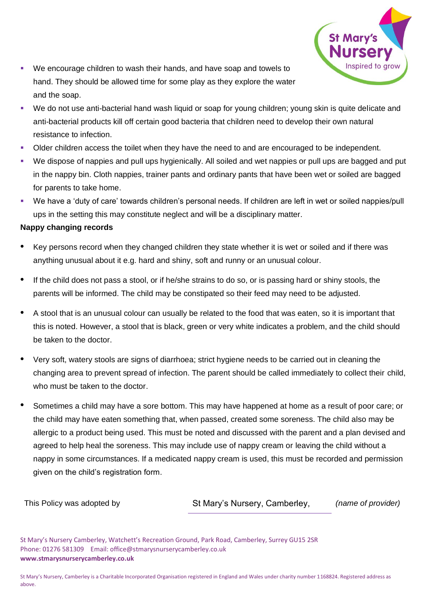

- We encourage children to wash their hands, and have soap and towels to hand. They should be allowed time for some play as they explore the water and the soap.
- We do not use anti-bacterial hand wash liquid or soap for young children; young skin is quite delicate and anti-bacterial products kill off certain good bacteria that children need to develop their own natural resistance to infection.
- Older children access the toilet when they have the need to and are encouraged to be independent.
- We dispose of nappies and pull ups hygienically. All soiled and wet nappies or pull ups are bagged and put in the nappy bin. Cloth nappies, trainer pants and ordinary pants that have been wet or soiled are bagged for parents to take home.
- We have a 'duty of care' towards children's personal needs. If children are left in wet or soiled nappies/pull ups in the setting this may constitute neglect and will be a disciplinary matter.

# **Nappy changing records**

- Key persons record when they changed children they state whether it is wet or soiled and if there was anything unusual about it e.g. hard and shiny, soft and runny or an unusual colour.
- If the child does not pass a stool, or if he/she strains to do so, or is passing hard or shiny stools, the parents will be informed. The child may be constipated so their feed may need to be adjusted.
- A stool that is an unusual colour can usually be related to the food that was eaten, so it is important that this is noted. However, a stool that is black, green or very white indicates a problem, and the child should be taken to the doctor.
- Very soft, watery stools are signs of diarrhoea; strict hygiene needs to be carried out in cleaning the changing area to prevent spread of infection. The parent should be called immediately to collect their child, who must be taken to the doctor.
- Sometimes a child may have a sore bottom. This may have happened at home as a result of poor care; or the child may have eaten something that, when passed, created some soreness. The child also may be allergic to a product being used. This must be noted and discussed with the parent and a plan devised and agreed to help heal the soreness. This may include use of nappy cream or leaving the child without a nappy in some circumstances. If a medicated nappy cream is used, this must be recorded and permission given on the child's registration form.

| This Policy was adopted by |  |
|----------------------------|--|
|----------------------------|--|

St Mary's Nursery, Camberley, *(name of provider)*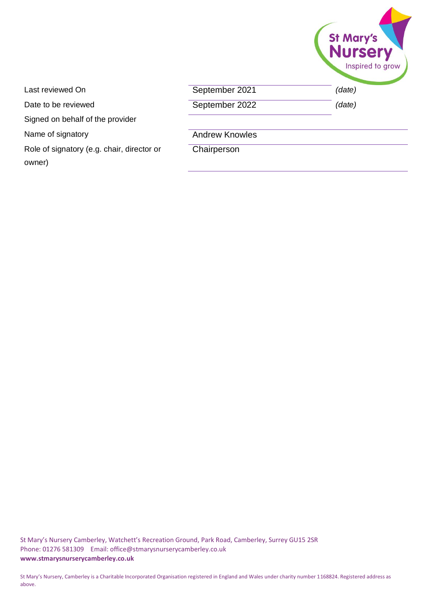|                       | St Mary's                  |
|-----------------------|----------------------------|
| September 2021        | Inspired to grow<br>(data) |
| September 2022        | (data)                     |
| <b>Andrew Knowles</b> |                            |

Last reviewed On Date to be reviewed

Signed on behalf of the provider

Name of signatory

Role of signatory (e.g. chair, director or owner)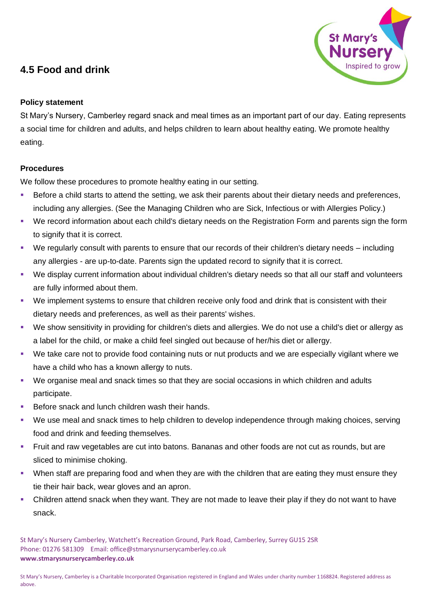# **4.5 Food and drink**



# **Policy statement**

St Mary's Nursery, Camberley regard snack and meal times as an important part of our day. Eating represents a social time for children and adults, and helps children to learn about healthy eating. We promote healthy eating.

# **Procedures**

We follow these procedures to promote healthy eating in our setting.

- Before a child starts to attend the setting, we ask their parents about their dietary needs and preferences, including any allergies. (See the Managing Children who are Sick, Infectious or with Allergies Policy.)
- We record information about each child's dietary needs on the Registration Form and parents sign the form to signify that it is correct.
- We regularly consult with parents to ensure that our records of their children's dietary needs including any allergies - are up-to-date. Parents sign the updated record to signify that it is correct.
- We display current information about individual children's dietary needs so that all our staff and volunteers are fully informed about them.
- We implement systems to ensure that children receive only food and drink that is consistent with their dietary needs and preferences, as well as their parents' wishes.
- We show sensitivity in providing for children's diets and allergies. We do not use a child's diet or allergy as a label for the child, or make a child feel singled out because of her/his diet or allergy.
- We take care not to provide food containing nuts or nut products and we are especially vigilant where we have a child who has a known allergy to nuts.
- We organise meal and snack times so that they are social occasions in which children and adults participate.
- Before snack and lunch children wash their hands.
- We use meal and snack times to help children to develop independence through making choices, serving food and drink and feeding themselves.
- Fruit and raw vegetables are cut into batons. Bananas and other foods are not cut as rounds, but are sliced to minimise choking.
- **•** When staff are preparing food and when they are with the children that are eating they must ensure they tie their hair back, wear gloves and an apron.
- Children attend snack when they want. They are not made to leave their play if they do not want to have snack.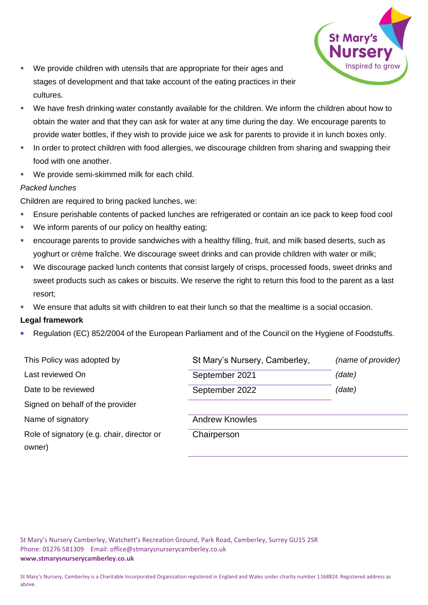

- We provide children with utensils that are appropriate for their ages and stages of development and that take account of the eating practices in their cultures.
- We have fresh drinking water constantly available for the children. We inform the children about how to obtain the water and that they can ask for water at any time during the day. We encourage parents to provide water bottles, if they wish to provide juice we ask for parents to provide it in lunch boxes only.
- **•** In order to protect children with food allergies, we discourage children from sharing and swapping their food with one another.
- We provide semi-skimmed milk for each child.

#### *Packed lunches*

Children are required to bring packed lunches, we:

- **Ensure perishable contents of packed lunches are refrigerated or contain an ice pack to keep food cool**
- We inform parents of our policy on healthy eating;
- encourage parents to provide sandwiches with a healthy filling, fruit, and milk based deserts, such as yoghurt or crème fraîche. We discourage sweet drinks and can provide children with water or milk;
- We discourage packed lunch contents that consist largely of crisps, processed foods, sweet drinks and sweet products such as cakes or biscuits. We reserve the right to return this food to the parent as a last resort;
- We ensure that adults sit with children to eat their lunch so that the mealtime is a social occasion.

#### **Legal framework**

Regulation (EC) 852/2004 of the European Parliament and of the Council on the Hygiene of Foodstuffs.

| St Mary's Nursery, Camberley, | (name of provider) |
|-------------------------------|--------------------|
| September 2021                | (date)             |
| September 2022                | (date)             |
|                               |                    |
| <b>Andrew Knowles</b>         |                    |
| Chairperson                   |                    |
|                               |                    |
|                               |                    |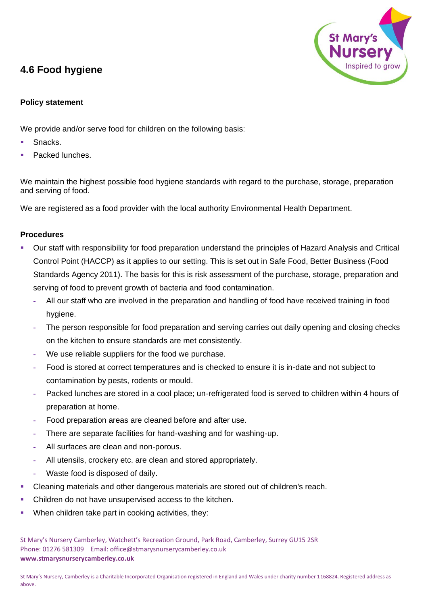# **4.6 Food hygiene**



### **Policy statement**

We provide and/or serve food for children on the following basis:

- Snacks.
- Packed lunches.

We maintain the highest possible food hygiene standards with regard to the purchase, storage, preparation and serving of food.

We are registered as a food provider with the local authority Environmental Health Department.

#### **Procedures**

- Our staff with responsibility for food preparation understand the principles of Hazard Analysis and Critical Control Point (HACCP) as it applies to our setting. This is set out in Safe Food, Better Business (Food Standards Agency 2011). The basis for this is risk assessment of the purchase, storage, preparation and serving of food to prevent growth of bacteria and food contamination.
	- **-** All our staff who are involved in the preparation and handling of food have received training in food hygiene.
	- **-** The person responsible for food preparation and serving carries out daily opening and closing checks on the kitchen to ensure standards are met consistently.
	- **-** We use reliable suppliers for the food we purchase.
	- **-** Food is stored at correct temperatures and is checked to ensure it is in-date and not subject to contamination by pests, rodents or mould.
	- **-** Packed lunches are stored in a cool place; un-refrigerated food is served to children within 4 hours of preparation at home.
	- **-** Food preparation areas are cleaned before and after use.
	- **-** There are separate facilities for hand-washing and for washing-up.
	- **-** All surfaces are clean and non-porous.
	- **-** All utensils, crockery etc. are clean and stored appropriately.
	- **-** Waste food is disposed of daily.
- Cleaning materials and other dangerous materials are stored out of children's reach.
- Children do not have unsupervised access to the kitchen.
- When children take part in cooking activities, they: